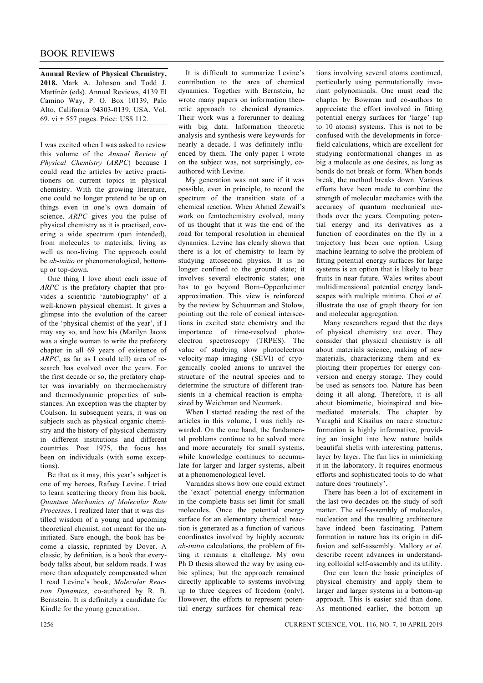**Annual Review of Physical Chemistry, 2018.** Mark A. Johnson and Todd J. Martínéz (eds). Annual Reviews, 4139 El Camino Way, P. O. Box 10139, Palo Alto, California 94303-0139, USA. Vol. 69. vi + 557 pages. Price: US\$ 112.

I was excited when I was asked to review this volume of the *Annual Review of Physical Chemistry* (*ARPC*) because I could read the articles by active practitioners on current topics in physical chemistry. With the growing literature, one could no longer pretend to be up on things even in one's own domain of science. *ARPC* gives you the pulse of physical chemistry as it is practised, covering a wide spectrum (pun intended), from molecules to materials, living as well as non-living. The approach could be *ab-initio* or phenomenological, bottomup or top-down.

 One thing I love about each issue of *ARPC* is the prefatory chapter that provides a scientific 'autobiography' of a well-known physical chemist. It gives a glimpse into the evolution of the career of the 'physical chemist of the year', if I may say so, and how his (Marilyn Jacox was a single woman to write the prefatory chapter in all 69 years of existence of *ARPC*, as far as I could tell) area of research has evolved over the years. For the first decade or so, the prefatory chapter was invariably on thermochemistry and thermodynamic properties of substances. An exception was the chapter by Coulson. In subsequent years, it was on subjects such as physical organic chemistry and the history of physical chemistry in different institutions and different countries. Post 1975, the focus has been on individuals (with some exceptions).

 Be that as it may, this year's subject is one of my heroes, Rafaey Levine. I tried to learn scattering theory from his book, *Quantum Mechanics of Molecular Rate Processes*. I realized later that it was distilled wisdom of a young and upcoming theoretical chemist, not meant for the uninitiated. Sure enough, the book has become a classic, reprinted by Dover. A classic, by definition, is a book that everybody talks about, but seldom reads. I was more than adequately compensated when I read Levine's book, *Molecular Reaction Dynamics*, co-authored by R. B. Bernstein. It is definitely a candidate for Kindle for the young generation.

 It is difficult to summarize Levine's contribution to the area of chemical dynamics. Together with Bernstein, he wrote many papers on information theoretic approach to chemical dynamics. Their work was a forerunner to dealing with big data. Information theoretic analysis and synthesis were keywords for nearly a decade. I was definitely influenced by them. The only paper I wrote on the subject was, not surprisingly, coauthored with Levine.

 My generation was not sure if it was possible, even in principle, to record the spectrum of the transition state of a chemical reaction. When Ahmed Zewail's work on femtochemistry evolved, many of us thought that it was the end of the road for temporal resolution in chemical dynamics. Levine has clearly shown that there is a lot of chemistry to learn by studying attosecond physics. It is no longer confined to the ground state; it involves several electronic states; one has to go beyond Born–Oppenheimer approximation. This view is reinforced by the review by Schuurman and Stolow, pointing out the role of conical intersections in excited state chemistry and the importance of time-resolved photoelectron spectroscopy (TRPES). The value of studying slow photoelectron velocity-map imaging (SEVI) of cryogenically cooled anions to unravel the structure of the neutral species and to determine the structure of different transients in a chemical reaction is emphasized by Weichman and Neumark.

 When I started reading the rest of the articles in this volume, I was richly rewarded. On the one hand, the fundamental problems continue to be solved more and more accurately for small systems, while knowledge continues to accumulate for larger and larger systems, albeit at a phenomenological level.

 Varandas shows how one could extract the 'exact' potential energy information in the complete basis set limit for small molecules. Once the potential energy surface for an elementary chemical reaction is generated as a function of various coordinates involved by highly accurate *ab-initio* calculations, the problem of fitting it remains a challenge. My own Ph D thesis showed the way by using cubic splines; but the approach remained directly applicable to systems involving up to three degrees of freedom (only). However, the efforts to represent potential energy surfaces for chemical reactions involving several atoms continued, particularly using permutationally invariant polynominals. One must read the chapter by Bowman and co-authors to appreciate the effort involved in fitting potential energy surfaces for 'large' (up to 10 atoms) systems. This is not to be confused with the developments in forcefield calculations, which are excellent for studying conformational changes in as big a molecule as one desires, as long as bonds do not break or form. When bonds break, the method breaks down. Various efforts have been made to combine the strength of molecular mechanics with the accuracy of quantum mechanical methods over the years. Computing potential energy and its derivatives as a function of coordinates on the fly in a trajectory has been one option. Using machine learning to solve the problem of fitting potential energy surfaces for large systems is an option that is likely to bear fruits in near future. Wales writes about multidimensional potential energy landscapes with multiple minima. Choi *et al.* illustrate the use of graph theory for ion and molecular aggregation.

 Many researchers regard that the days of physical chemistry are over. They consider that physical chemistry is all about materials science, making of new materials, characterizing them and exploiting their properties for energy conversion and energy storage. They could be used as sensors too. Nature has been doing it all along. Therefore, it is all about biomimetic, bioinspired and biomediated materials. The chapter by Yaraghi and Kisailus on nacre structure formation is highly informative, providing an insight into how nature builds beautiful shells with interesting patterns, layer by layer. The fun lies in mimicking it in the laboratory. It requires enormous efforts and sophisticated tools to do what nature does 'routinely'.

 There has been a lot of excitement in the last two decades on the study of soft matter. The self-assembly of molecules, nucleation and the resulting architecture have indeed been fascinating. Pattern formation in nature has its origin in diffusion and self-assembly. Mallory *et al*. describe recent advances in understanding colloidal self-assembly and its utility.

 One can learn the basic principles of physical chemistry and apply them to larger and larger systems in a bottom-up approach. This is easier said than done. As mentioned earlier, the bottom up